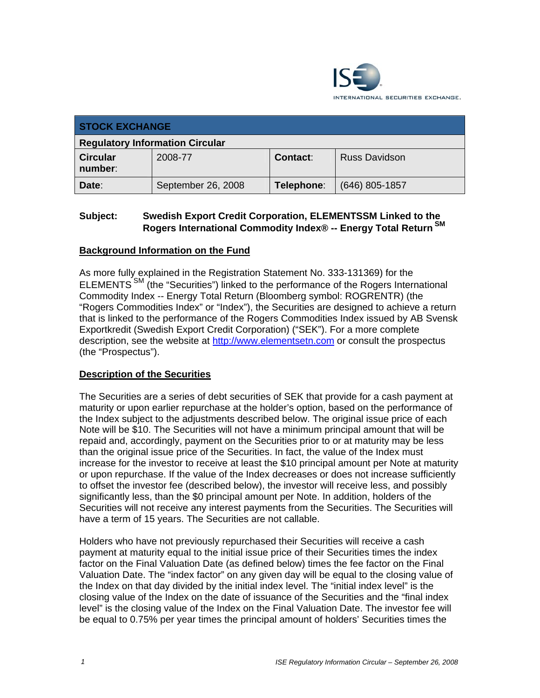

| <b>STOCK EXCHANGE</b>                  |                    |            |                      |
|----------------------------------------|--------------------|------------|----------------------|
| <b>Regulatory Information Circular</b> |                    |            |                      |
| <b>Circular</b><br>number:             | 2008-77            | Contact:   | <b>Russ Davidson</b> |
| Date:                                  | September 26, 2008 | Telephone: | $(646)$ 805-1857     |

# **Subject: Swedish Export Credit Corporation, ELEMENTSSM Linked to the Rogers International Commodity Index® -- Energy Total Return SM**

# **Background Information on the Fund**

As more fully explained in the Registration Statement No. 333-131369) for the ELEMENTS<sup>SM</sup> (the "Securities") linked to the performance of the Rogers International Commodity Index -- Energy Total Return (Bloomberg symbol: ROGRENTR) (the "Rogers Commodities Index" or "Index"), the Securities are designed to achieve a return that is linked to the performance of the Rogers Commodities Index issued by AB Svensk Exportkredit (Swedish Export Credit Corporation) ("SEK"). For a more complete description, see the website at http://www.elementsetn.com or consult the prospectus (the "Prospectus").

# **Description of the Securities**

The Securities are a series of debt securities of SEK that provide for a cash payment at maturity or upon earlier repurchase at the holder's option, based on the performance of the Index subject to the adjustments described below. The original issue price of each Note will be \$10. The Securities will not have a minimum principal amount that will be repaid and, accordingly, payment on the Securities prior to or at maturity may be less than the original issue price of the Securities. In fact, the value of the Index must increase for the investor to receive at least the \$10 principal amount per Note at maturity or upon repurchase. If the value of the Index decreases or does not increase sufficiently to offset the investor fee (described below), the investor will receive less, and possibly significantly less, than the \$0 principal amount per Note. In addition, holders of the Securities will not receive any interest payments from the Securities. The Securities will have a term of 15 years. The Securities are not callable.

Holders who have not previously repurchased their Securities will receive a cash payment at maturity equal to the initial issue price of their Securities times the index factor on the Final Valuation Date (as defined below) times the fee factor on the Final Valuation Date. The "index factor" on any given day will be equal to the closing value of the Index on that day divided by the initial index level. The "initial index level" is the closing value of the Index on the date of issuance of the Securities and the "final index level" is the closing value of the Index on the Final Valuation Date. The investor fee will be equal to 0.75% per year times the principal amount of holders' Securities times the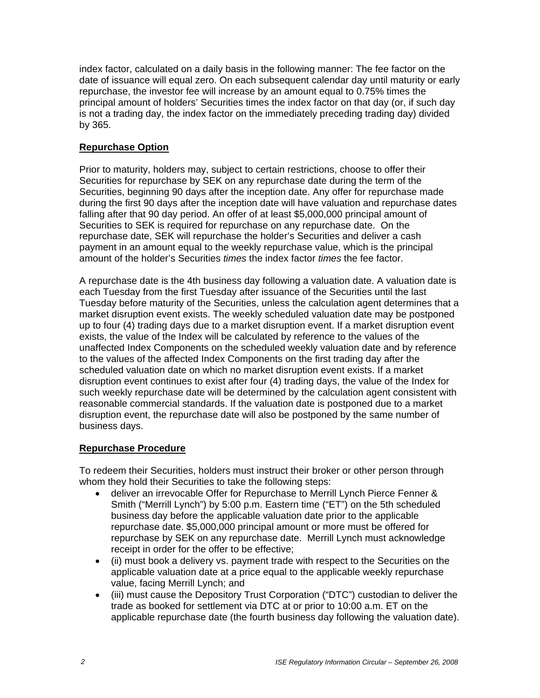index factor, calculated on a daily basis in the following manner: The fee factor on the date of issuance will equal zero. On each subsequent calendar day until maturity or early repurchase, the investor fee will increase by an amount equal to 0.75% times the principal amount of holders' Securities times the index factor on that day (or, if such day is not a trading day, the index factor on the immediately preceding trading day) divided by 365.

# **Repurchase Option**

Prior to maturity, holders may, subject to certain restrictions, choose to offer their Securities for repurchase by SEK on any repurchase date during the term of the Securities, beginning 90 days after the inception date. Any offer for repurchase made during the first 90 days after the inception date will have valuation and repurchase dates falling after that 90 day period. An offer of at least \$5,000,000 principal amount of Securities to SEK is required for repurchase on any repurchase date. On the repurchase date, SEK will repurchase the holder's Securities and deliver a cash payment in an amount equal to the weekly repurchase value, which is the principal amount of the holder's Securities *times* the index factor *times* the fee factor.

A repurchase date is the 4th business day following a valuation date. A valuation date is each Tuesday from the first Tuesday after issuance of the Securities until the last Tuesday before maturity of the Securities, unless the calculation agent determines that a market disruption event exists. The weekly scheduled valuation date may be postponed up to four (4) trading days due to a market disruption event. If a market disruption event exists, the value of the Index will be calculated by reference to the values of the unaffected Index Components on the scheduled weekly valuation date and by reference to the values of the affected Index Components on the first trading day after the scheduled valuation date on which no market disruption event exists. If a market disruption event continues to exist after four (4) trading days, the value of the Index for such weekly repurchase date will be determined by the calculation agent consistent with reasonable commercial standards. If the valuation date is postponed due to a market disruption event, the repurchase date will also be postponed by the same number of business days.

# **Repurchase Procedure**

To redeem their Securities, holders must instruct their broker or other person through whom they hold their Securities to take the following steps:

- deliver an irrevocable Offer for Repurchase to Merrill Lynch Pierce Fenner & Smith ("Merrill Lynch") by 5:00 p.m. Eastern time ("ET") on the 5th scheduled business day before the applicable valuation date prior to the applicable repurchase date. \$5,000,000 principal amount or more must be offered for repurchase by SEK on any repurchase date. Merrill Lynch must acknowledge receipt in order for the offer to be effective;
- (ii) must book a delivery vs. payment trade with respect to the Securities on the applicable valuation date at a price equal to the applicable weekly repurchase value, facing Merrill Lynch; and
- (iii) must cause the Depository Trust Corporation ("DTC") custodian to deliver the trade as booked for settlement via DTC at or prior to 10:00 a.m. ET on the applicable repurchase date (the fourth business day following the valuation date).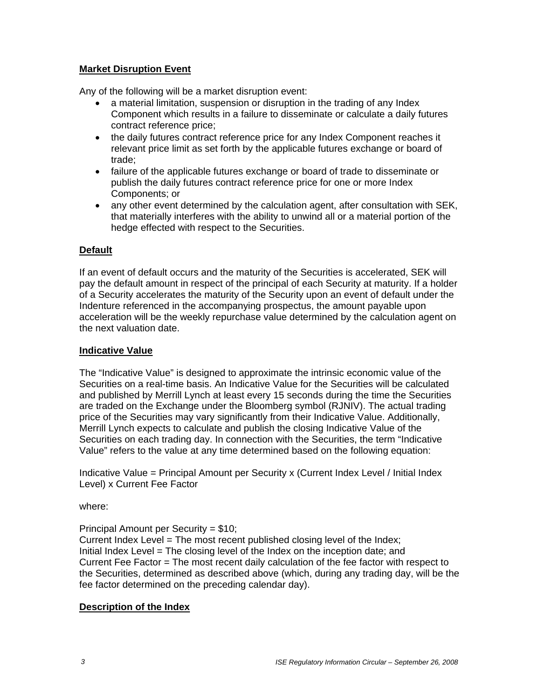# **Market Disruption Event**

Any of the following will be a market disruption event:

- a material limitation, suspension or disruption in the trading of any Index Component which results in a failure to disseminate or calculate a daily futures contract reference price;
- the daily futures contract reference price for any Index Component reaches it relevant price limit as set forth by the applicable futures exchange or board of trade;
- failure of the applicable futures exchange or board of trade to disseminate or publish the daily futures contract reference price for one or more Index Components; or
- any other event determined by the calculation agent, after consultation with SEK, that materially interferes with the ability to unwind all or a material portion of the hedge effected with respect to the Securities.

# **Default**

If an event of default occurs and the maturity of the Securities is accelerated, SEK will pay the default amount in respect of the principal of each Security at maturity. If a holder of a Security accelerates the maturity of the Security upon an event of default under the Indenture referenced in the accompanying prospectus, the amount payable upon acceleration will be the weekly repurchase value determined by the calculation agent on the next valuation date.

#### **Indicative Value**

The "Indicative Value" is designed to approximate the intrinsic economic value of the Securities on a real-time basis. An Indicative Value for the Securities will be calculated and published by Merrill Lynch at least every 15 seconds during the time the Securities are traded on the Exchange under the Bloomberg symbol (RJNIV). The actual trading price of the Securities may vary significantly from their Indicative Value. Additionally, Merrill Lynch expects to calculate and publish the closing Indicative Value of the Securities on each trading day. In connection with the Securities, the term "Indicative Value" refers to the value at any time determined based on the following equation:

Indicative Value = Principal Amount per Security x (Current Index Level / Initial Index Level) x Current Fee Factor

where:

Principal Amount per Security = \$10;

Current Index Level = The most recent published closing level of the Index; Initial Index Level = The closing level of the Index on the inception date; and Current Fee Factor = The most recent daily calculation of the fee factor with respect to the Securities, determined as described above (which, during any trading day, will be the fee factor determined on the preceding calendar day).

# **Description of the Index**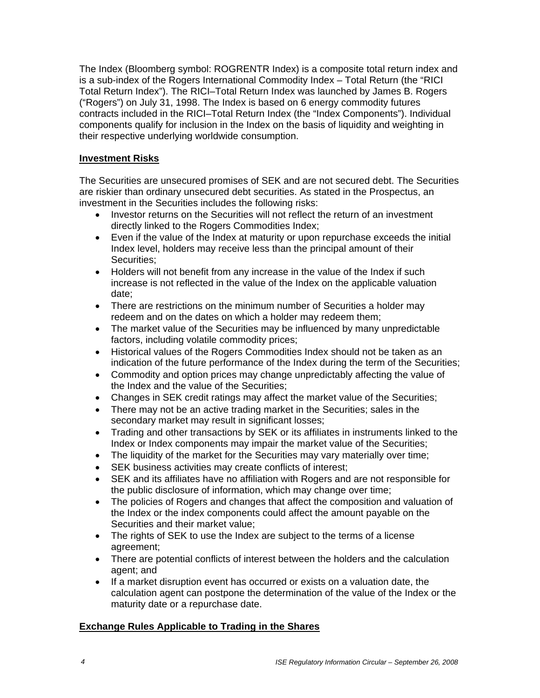The Index (Bloomberg symbol: ROGRENTR Index) is a composite total return index and is a sub-index of the Rogers International Commodity Index – Total Return (the "RICI Total Return Index"). The RICI–Total Return Index was launched by James B. Rogers ("Rogers") on July 31, 1998. The Index is based on 6 energy commodity futures contracts included in the RICI–Total Return Index (the "Index Components"). Individual components qualify for inclusion in the Index on the basis of liquidity and weighting in their respective underlying worldwide consumption.

# **Investment Risks**

The Securities are unsecured promises of SEK and are not secured debt. The Securities are riskier than ordinary unsecured debt securities. As stated in the Prospectus, an investment in the Securities includes the following risks:

- Investor returns on the Securities will not reflect the return of an investment directly linked to the Rogers Commodities Index;
- Even if the value of the Index at maturity or upon repurchase exceeds the initial Index level, holders may receive less than the principal amount of their Securities;
- Holders will not benefit from any increase in the value of the Index if such increase is not reflected in the value of the Index on the applicable valuation date;
- There are restrictions on the minimum number of Securities a holder may redeem and on the dates on which a holder may redeem them;
- The market value of the Securities may be influenced by many unpredictable factors, including volatile commodity prices;
- Historical values of the Rogers Commodities Index should not be taken as an indication of the future performance of the Index during the term of the Securities;
- Commodity and option prices may change unpredictably affecting the value of the Index and the value of the Securities;
- Changes in SEK credit ratings may affect the market value of the Securities;
- There may not be an active trading market in the Securities; sales in the secondary market may result in significant losses;
- Trading and other transactions by SEK or its affiliates in instruments linked to the Index or Index components may impair the market value of the Securities;
- The liquidity of the market for the Securities may vary materially over time;
- SEK business activities may create conflicts of interest;
- SEK and its affiliates have no affiliation with Rogers and are not responsible for the public disclosure of information, which may change over time;
- The policies of Rogers and changes that affect the composition and valuation of the Index or the index components could affect the amount payable on the Securities and their market value;
- The rights of SEK to use the Index are subject to the terms of a license agreement;
- There are potential conflicts of interest between the holders and the calculation agent; and
- If a market disruption event has occurred or exists on a valuation date, the calculation agent can postpone the determination of the value of the Index or the maturity date or a repurchase date.

# **Exchange Rules Applicable to Trading in the Shares**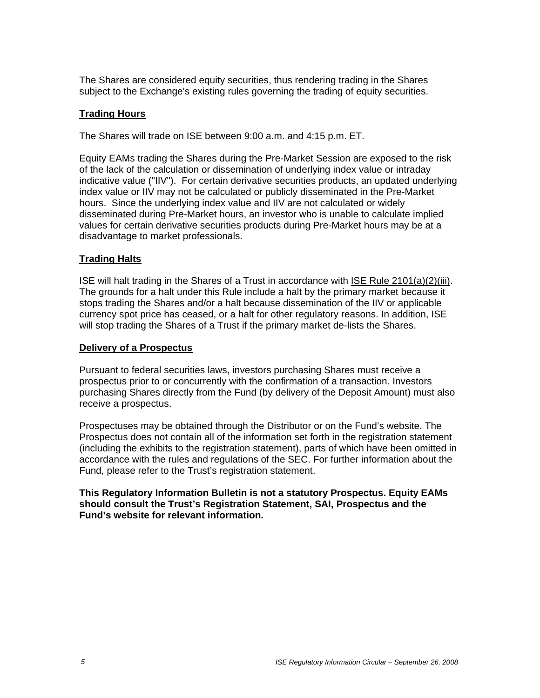The Shares are considered equity securities, thus rendering trading in the Shares subject to the Exchange's existing rules governing the trading of equity securities.

# **Trading Hours**

The Shares will trade on ISE between 9:00 a.m. and 4:15 p.m. ET.

Equity EAMs trading the Shares during the Pre-Market Session are exposed to the risk of the lack of the calculation or dissemination of underlying index value or intraday indicative value ("IIV"). For certain derivative securities products, an updated underlying index value or IIV may not be calculated or publicly disseminated in the Pre-Market hours. Since the underlying index value and IIV are not calculated or widely disseminated during Pre-Market hours, an investor who is unable to calculate implied values for certain derivative securities products during Pre-Market hours may be at a disadvantage to market professionals.

### **Trading Halts**

ISE will halt trading in the Shares of a Trust in accordance with ISE Rule 2101(a)(2)(iii). The grounds for a halt under this Rule include a halt by the primary market because it stops trading the Shares and/or a halt because dissemination of the IIV or applicable currency spot price has ceased, or a halt for other regulatory reasons. In addition, ISE will stop trading the Shares of a Trust if the primary market de-lists the Shares.

#### **Delivery of a Prospectus**

Pursuant to federal securities laws, investors purchasing Shares must receive a prospectus prior to or concurrently with the confirmation of a transaction. Investors purchasing Shares directly from the Fund (by delivery of the Deposit Amount) must also receive a prospectus.

Prospectuses may be obtained through the Distributor or on the Fund's website. The Prospectus does not contain all of the information set forth in the registration statement (including the exhibits to the registration statement), parts of which have been omitted in accordance with the rules and regulations of the SEC. For further information about the Fund, please refer to the Trust's registration statement.

#### **This Regulatory Information Bulletin is not a statutory Prospectus. Equity EAMs should consult the Trust's Registration Statement, SAI, Prospectus and the Fund's website for relevant information.**